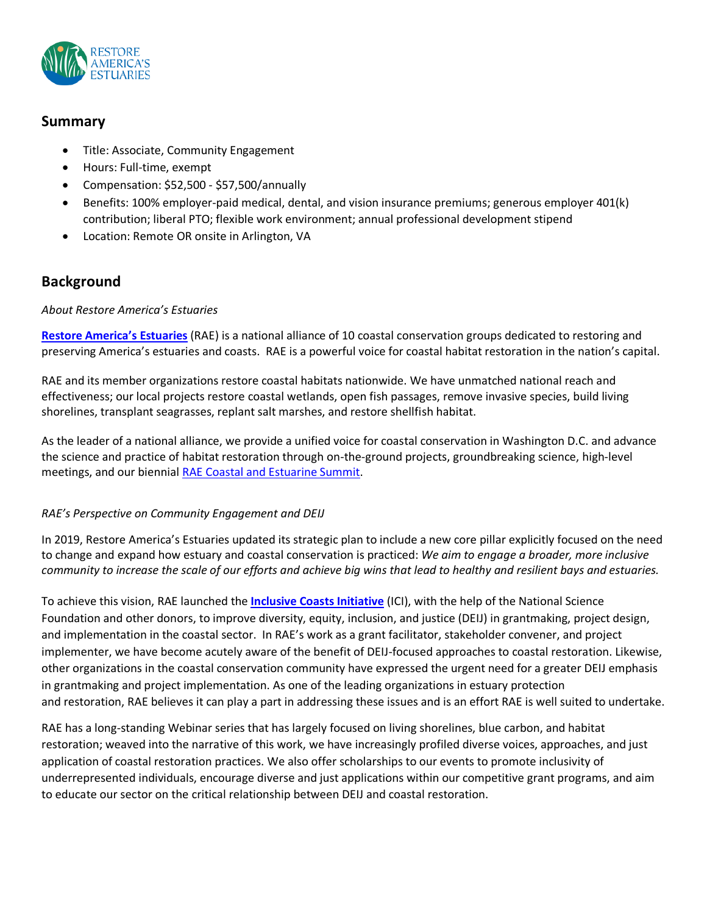

## **Summary**

- Title: Associate, Community Engagement
- Hours: Full-time, exempt
- Compensation: \$52,500 \$57,500/annually
- Benefits: 100% employer-paid medical, dental, and vision insurance premiums; generous employer 401(k) contribution; liberal PTO; flexible work environment; annual professional development stipend
- Location: Remote OR onsite in Arlington, VA

## **Background**

### *About Restore America's Estuaries*

**[Restore America's Estuaries](http://www.estuaries.org/)** (RAE) is a national alliance of 10 coastal conservation groups dedicated to restoring and preserving America's estuaries and coasts. RAE is a powerful voice for coastal habitat restoration in the nation's capital.

RAE and its member organizations restore coastal habitats nationwide. We have unmatched national reach and effectiveness; our local projects restore coastal wetlands, open fish passages, remove invasive species, build living shorelines, transplant seagrasses, replant salt marshes, and restore shellfish habitat.

As the leader of a national alliance, we provide a unified voice for coastal conservation in Washington D.C. and advance the science and practice of habitat restoration through on-the-ground projects, groundbreaking science, high-level meetings, and our biennial RAE Coastal and [Estuarine](https://estuaries.org/summit/) Summit.

### *RAE's Perspective on Community Engagement and DEIJ*

In 2019, Restore America's Estuaries updated its strategic plan to include a new core pillar explicitly focused on the need to change and expand how estuary and coastal conservation is practiced: *We aim to engage a broader, more inclusive* community to increase the scale of our efforts and achieve big wins that lead to healthy and resilient bays and estuaries.

To achieve this vision, RAE launched the **Inclusive Coasts [Initiative](https://estuaries.org/initiatives/inclusive-coasts/)** (ICI), with the help of the National Science Foundation and other donors, to improve diversity, equity, inclusion, and justice (DEIJ) in grantmaking, project design, and implementation in the coastal sector. In RAE's work as a grant facilitator, stakeholder convener, and project implementer, we have become acutely aware of the benefit of DEIJ-focused approaches to coastal restoration. Likewise, other organizations in the coastal conservation community have expressed the urgent need for a greater DEIJ emphasis in grantmaking and project implementation. As one of the leading organizations in estuary protection and restoration, RAE believes it can play a part in addressing these issues and is an effort RAE is well suited to undertake.

RAE has a long-standing Webinar series that has largely focused on living shorelines, blue carbon, and habitat restoration; weaved into the narrative of this work, we have increasingly profiled diverse voices, approaches, and just application of coastal restoration practices. We also offer scholarships to our events to promote inclusivity of underrepresented individuals, encourage diverse and just applications within our competitive grant programs, and aim to educate our sector on the critical relationship between DEIJ and coastal restoration.